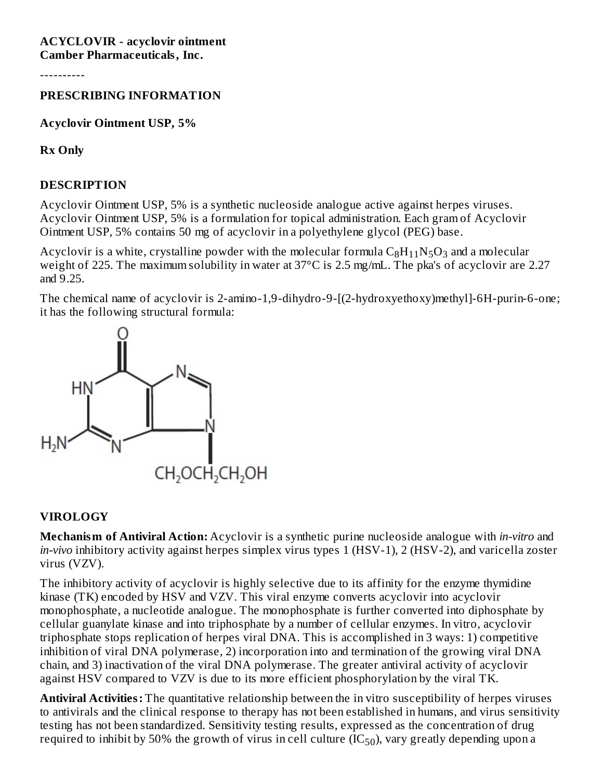#### **ACYCLOVIR - acyclovir ointment Camber Pharmaceuticals, Inc.**

----------

#### **PRESCRIBING INFORMATION**

**Acyclovir Ointment USP, 5%**

**Rx Only**

#### **DESCRIPTION**

Acyclovir Ointment USP, 5% is a synthetic nucleoside analogue active against herpes viruses. Acyclovir Ointment USP, 5% is a formulation for topical administration. Each gram of Acyclovir Ointment USP, 5% contains 50 mg of acyclovir in a polyethylene glycol (PEG) base.

Acyclovir is a white, crystalline powder with the molecular formula  $\rm{C_8H_{11}N_5O_3}$  and a molecular weight of 225. The maximum solubility in water at 37°C is 2.5 mg/mL. The pka's of acyclovir are 2.27 and 9.25.

The chemical name of acyclovir is 2-amino-1,9-dihydro-9-[(2-hydroxyethoxy)methyl]-6H-purin-6-one; it has the following structural formula:



#### **VIROLOGY**

**Mechanism of Antiviral Action:** Acyclovir is a synthetic purine nucleoside analogue with *in-vitro* and *in-vivo* inhibitory activity against herpes simplex virus types 1 (HSV-1), 2 (HSV-2), and varicella zoster virus (VZV).

The inhibitory activity of acyclovir is highly selective due to its affinity for the enzyme thymidine kinase (TK) encoded by HSV and VZV. This viral enzyme converts acyclovir into acyclovir monophosphate, a nucleotide analogue. The monophosphate is further converted into diphosphate by cellular guanylate kinase and into triphosphate by a number of cellular enzymes. In vitro, acyclovir triphosphate stops replication of herpes viral DNA. This is accomplished in 3 ways: 1) competitive inhibition of viral DNA polymerase, 2) incorporation into and termination of the growing viral DNA chain, and 3) inactivation of the viral DNA polymerase. The greater antiviral activity of acyclovir against HSV compared to VZV is due to its more efficient phosphorylation by the viral TK.

**Antiviral Activities:** The quantitative relationship between the in vitro susceptibility of herpes viruses to antivirals and the clinical response to therapy has not been established in humans, and virus sensitivity testing has not been standardized. Sensitivity testing results, expressed as the concentration of drug required to inhibit by 50% the growth of virus in cell culture (IC $_{50}$ ), vary greatly depending upon a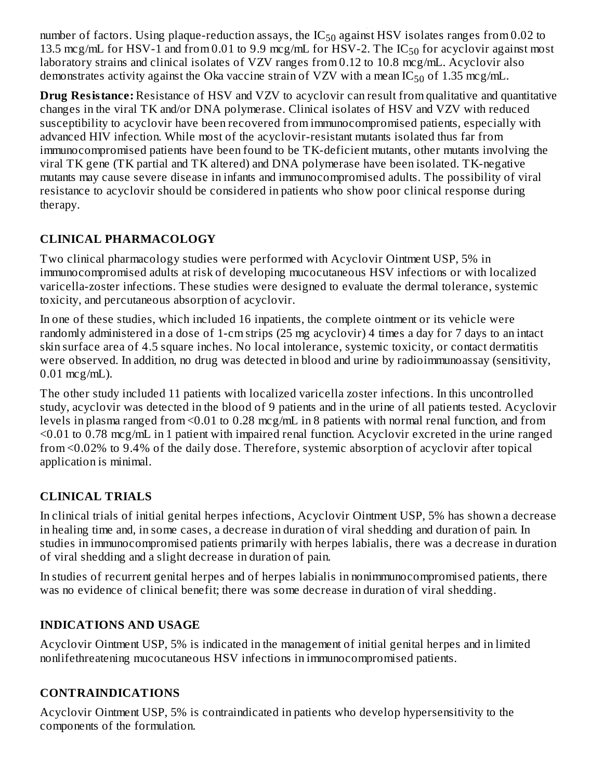number of factors. Using plaque-reduction assays, the  $IC_{50}$  against HSV isolates ranges from 0.02 to 13.5 mcg/mL for HSV-1 and from 0.01 to 9.9 mcg/mL for HSV-2. The  $IC_{50}$  for acyclovir against most laboratory strains and clinical isolates of VZV ranges from 0.12 to 10.8 mcg/mL. Acyclovir also demonstrates activity against the Oka vaccine strain of VZV with a mean IC $_{50}$  of 1.35 mcg/mL.  $\overline{a}$ 50

**Drug Resistance:** Resistance of HSV and VZV to acyclovir can result from qualitative and quantitative changes in the viral TK and/or DNA polymerase. Clinical isolates of HSV and VZV with reduced susceptibility to acyclovir have been recovered from immunocompromised patients, especially with advanced HIV infection. While most of the acyclovir-resistant mutants isolated thus far from immunocompromised patients have been found to be TK-deficient mutants, other mutants involving the viral TK gene (TK partial and TK altered) and DNA polymerase have been isolated. TK-negative mutants may cause severe disease in infants and immunocompromised adults. The possibility of viral resistance to acyclovir should be considered in patients who show poor clinical response during therapy.

# **CLINICAL PHARMACOLOGY**

Two clinical pharmacology studies were performed with Acyclovir Ointment USP, 5% in immunocompromised adults at risk of developing mucocutaneous HSV infections or with localized varicella-zoster infections. These studies were designed to evaluate the dermal tolerance, systemic toxicity, and percutaneous absorption of acyclovir.

In one of these studies, which included 16 inpatients, the complete ointment or its vehicle were randomly administered in a dose of 1-cm strips (25 mg acyclovir) 4 times a day for 7 days to an intact skin surface area of 4.5 square inches. No local intolerance, systemic toxicity, or contact dermatitis were observed. In addition, no drug was detected in blood and urine by radioimmunoassay (sensitivity, 0.01 mcg/mL).

The other study included 11 patients with localized varicella zoster infections. In this uncontrolled study, acyclovir was detected in the blood of 9 patients and in the urine of all patients tested. Acyclovir levels in plasma ranged from <0.01 to 0.28 mcg/mL in 8 patients with normal renal function, and from <0.01 to 0.78 mcg/mL in 1 patient with impaired renal function. Acyclovir excreted in the urine ranged from <0.02% to 9.4% of the daily dose. Therefore, systemic absorption of acyclovir after topical application is minimal.

# **CLINICAL TRIALS**

In clinical trials of initial genital herpes infections, Acyclovir Ointment USP, 5% has shown a decrease in healing time and, in some cases, a decrease in duration of viral shedding and duration of pain. In studies in immunocompromised patients primarily with herpes labialis, there was a decrease in duration of viral shedding and a slight decrease in duration of pain.

In studies of recurrent genital herpes and of herpes labialis in nonimmunocompromised patients, there was no evidence of clinical benefit; there was some decrease in duration of viral shedding.

### **INDICATIONS AND USAGE**

Acyclovir Ointment USP, 5% is indicated in the management of initial genital herpes and in limited nonlifethreatening mucocutaneous HSV infections in immunocompromised patients.

# **CONTRAINDICATIONS**

Acyclovir Ointment USP, 5% is contraindicated in patients who develop hypersensitivity to the components of the formulation.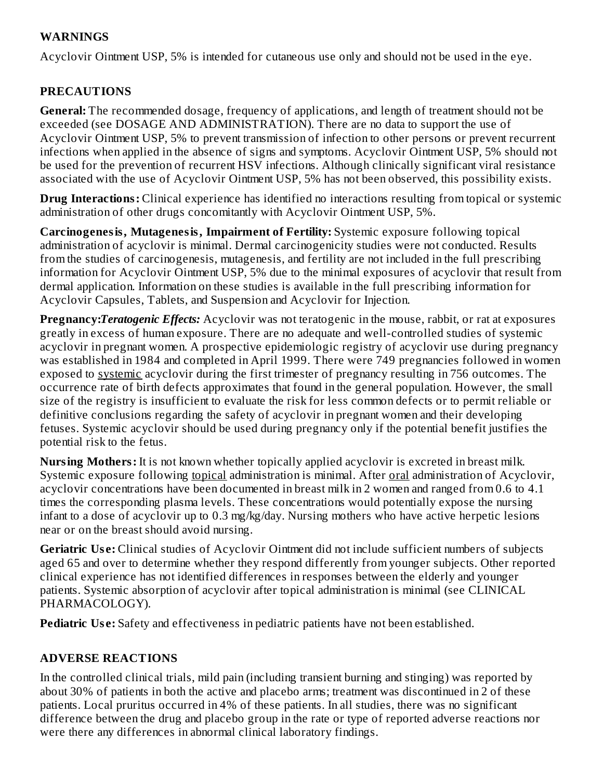### **WARNINGS**

Acyclovir Ointment USP, 5% is intended for cutaneous use only and should not be used in the eye.

## **PRECAUTIONS**

**General:** The recommended dosage, frequency of applications, and length of treatment should not be exceeded (see DOSAGE AND ADMINISTRATION). There are no data to support the use of Acyclovir Ointment USP, 5% to prevent transmission of infection to other persons or prevent recurrent infections when applied in the absence of signs and symptoms. Acyclovir Ointment USP, 5% should not be used for the prevention of recurrent HSV infections. Although clinically significant viral resistance associated with the use of Acyclovir Ointment USP, 5% has not been observed, this possibility exists.

**Drug Interactions:** Clinical experience has identified no interactions resulting from topical or systemic administration of other drugs concomitantly with Acyclovir Ointment USP, 5%.

**Carcinogenesis, Mutagenesis, Impairment of Fertility:** Systemic exposure following topical administration of acyclovir is minimal. Dermal carcinogenicity studies were not conducted. Results from the studies of carcinogenesis, mutagenesis, and fertility are not included in the full prescribing information for Acyclovir Ointment USP, 5% due to the minimal exposures of acyclovir that result from dermal application. Information on these studies is available in the full prescribing information for Acyclovir Capsules, Tablets, and Suspension and Acyclovir for Injection.

**Pregnancy:***Teratogenic Effects:* Acyclovir was not teratogenic in the mouse, rabbit, or rat at exposures greatly in excess of human exposure. There are no adequate and well-controlled studies of systemic acyclovir in pregnant women. A prospective epidemiologic registry of acyclovir use during pregnancy was established in 1984 and completed in April 1999. There were 749 pregnancies followed in women exposed to systemic acyclovir during the first trimester of pregnancy resulting in 756 outcomes. The occurrence rate of birth defects approximates that found in the general population. However, the small size of the registry is insufficient to evaluate the risk for less common defects or to permit reliable or definitive conclusions regarding the safety of acyclovir in pregnant women and their developing fetuses. Systemic acyclovir should be used during pregnancy only if the potential benefit justifies the potential risk to the fetus.

**Nursing Mothers:** It is not known whether topically applied acyclovir is excreted in breast milk. Systemic exposure following topical administration is minimal. After oral administration of Acyclovir, acyclovir concentrations have been documented in breast milk in 2 women and ranged from 0.6 to 4.1 times the corresponding plasma levels. These concentrations would potentially expose the nursing infant to a dose of acyclovir up to 0.3 mg/kg/day. Nursing mothers who have active herpetic lesions near or on the breast should avoid nursing.

**Geriatric Us e:** Clinical studies of Acyclovir Ointment did not include sufficient numbers of subjects aged 65 and over to determine whether they respond differently from younger subjects. Other reported clinical experience has not identified differences in responses between the elderly and younger patients. Systemic absorption of acyclovir after topical administration is minimal (see CLINICAL PHARMACOLOGY).

**Pediatric Use:** Safety and effectiveness in pediatric patients have not been established.

### **ADVERSE REACTIONS**

In the controlled clinical trials, mild pain (including transient burning and stinging) was reported by about 30% of patients in both the active and placebo arms; treatment was discontinued in 2 of these patients. Local pruritus occurred in 4% of these patients. In all studies, there was no significant difference between the drug and placebo group in the rate or type of reported adverse reactions nor were there any differences in abnormal clinical laboratory findings.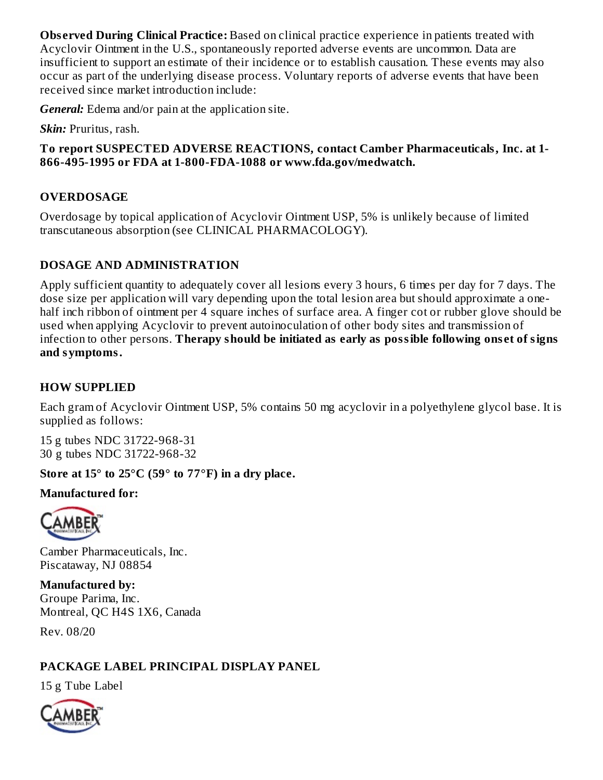**Obs erved During Clinical Practice:** Based on clinical practice experience in patients treated with Acyclovir Ointment in the U.S., spontaneously reported adverse events are uncommon. Data are insufficient to support an estimate of their incidence or to establish causation. These events may also occur as part of the underlying disease process. Voluntary reports of adverse events that have been received since market introduction include:

*General:* Edema and/or pain at the application site.

*Skin:* Pruritus, rash.

### **To report SUSPECTED ADVERSE REACTIONS, contact Camber Pharmaceuticals, Inc. at 1- 866-495-1995 or FDA at 1-800-FDA-1088 or www.fda.gov/medwatch.**

# **OVERDOSAGE**

Overdosage by topical application of Acyclovir Ointment USP, 5% is unlikely because of limited transcutaneous absorption (see CLINICAL PHARMACOLOGY).

## **DOSAGE AND ADMINISTRATION**

Apply sufficient quantity to adequately cover all lesions every 3 hours, 6 times per day for 7 days. The dose size per application will vary depending upon the total lesion area but should approximate a onehalf inch ribbon of ointment per 4 square inches of surface area. A finger cot or rubber glove should be used when applying Acyclovir to prevent autoinoculation of other body sites and transmission of infection to other persons. **Therapy should be initiated as early as possible following ons et of signs and symptoms.**

# **HOW SUPPLIED**

Each gram of Acyclovir Ointment USP, 5% contains 50 mg acyclovir in a polyethylene glycol base. It is supplied as follows:

15 g tubes NDC 31722-968-31 30 g tubes NDC 31722-968-32

# **Store at 15° to 25°C (59° to 77°F) in a dry place.**

### **Manufactured for:**



Camber Pharmaceuticals, Inc. Piscataway, NJ 08854

**Manufactured by:** Groupe Parima, Inc. Montreal, QC H4S 1X6, Canada

Rev. 08/20

# **PACKAGE LABEL PRINCIPAL DISPLAY PANEL**

15 g Tube Label

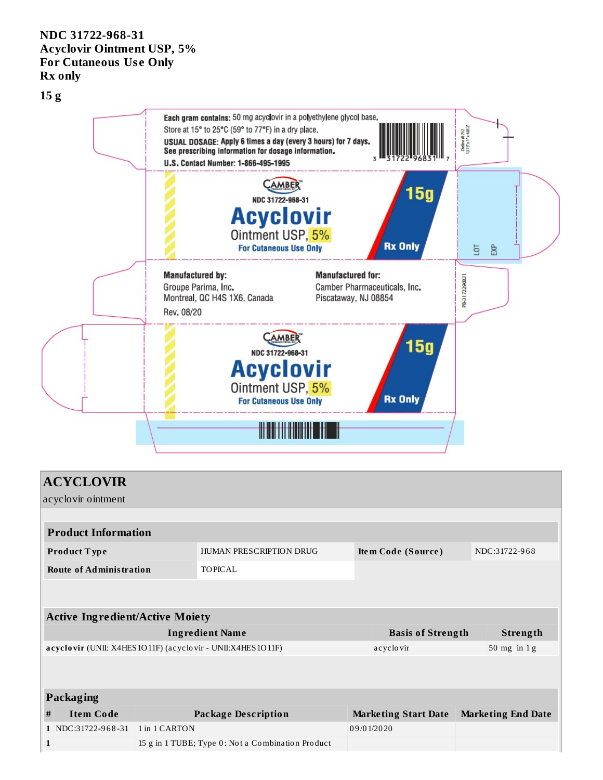### **NDC 31722-968-31 Acyclovir Ointment USP, 5% For Cutaneous Us e Only Rx only**

**15 g**



| <b>ACYCLOVIR</b>                                           |                            |               |                                                   |            |                             |  |                           |  |  |  |
|------------------------------------------------------------|----------------------------|---------------|---------------------------------------------------|------------|-----------------------------|--|---------------------------|--|--|--|
| acyclovir ointment                                         |                            |               |                                                   |            |                             |  |                           |  |  |  |
|                                                            |                            |               |                                                   |            |                             |  |                           |  |  |  |
|                                                            | <b>Product Information</b> |               |                                                   |            |                             |  |                           |  |  |  |
| <b>Product Type</b>                                        |                            |               | HUMAN PRESCRIPTION DRUG                           |            | Item Code (Source)          |  | NDC:31722-968             |  |  |  |
| <b>Route of Administration</b>                             |                            |               | <b>TOPICAL</b>                                    |            |                             |  |                           |  |  |  |
|                                                            |                            |               |                                                   |            |                             |  |                           |  |  |  |
| <b>Active Ingredient/Active Moiety</b>                     |                            |               |                                                   |            |                             |  |                           |  |  |  |
| <b>Ingredient Name</b>                                     |                            |               |                                                   |            | <b>Basis of Strength</b>    |  | Strength                  |  |  |  |
| acyclovir (UNII: X4HES1O11F) (acyclovir - UNII:X4HES1O11F) |                            |               |                                                   |            | acyclovir                   |  | $50$ mg in $1$ g          |  |  |  |
|                                                            |                            |               |                                                   |            |                             |  |                           |  |  |  |
|                                                            |                            |               |                                                   |            |                             |  |                           |  |  |  |
| Packaging                                                  |                            |               |                                                   |            |                             |  |                           |  |  |  |
| #                                                          | <b>Item Code</b>           |               | <b>Package Description</b>                        |            | <b>Marketing Start Date</b> |  | <b>Marketing End Date</b> |  |  |  |
|                                                            | 1 NDC:31722-968-31         | 1 in 1 CARTON |                                                   | 09/01/2020 |                             |  |                           |  |  |  |
| 1                                                          |                            |               | 15 g in 1 TUBE; Type 0: Not a Combination Product |            |                             |  |                           |  |  |  |
|                                                            |                            |               |                                                   |            |                             |  |                           |  |  |  |